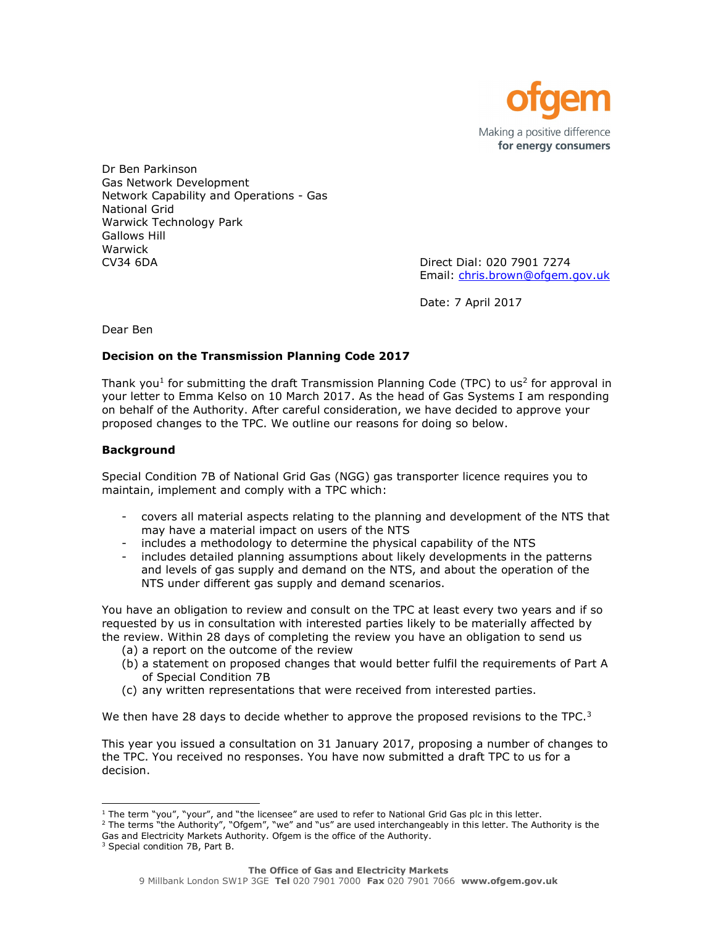

Dr Ben Parkinson Gas Network Development Network Capability and Operations - Gas National Grid Warwick Technology Park Gallows Hill Warwick CV34 6DA Direct Dial: 020 7901 7274

Email: chris.brown@ofgem.gov.uk

Date: 7 April 2017

Dear Ben

# Decision on the Transmission Planning Code 2017

Thank you<sup>1</sup> for submitting the draft Transmission Planning Code (TPC) to us<sup>2</sup> for approval in your letter to Emma Kelso on 10 March 2017. As the head of Gas Systems I am responding on behalf of the Authority. After careful consideration, we have decided to approve your proposed changes to the TPC. We outline our reasons for doing so below.

## **Background**

Special Condition 7B of National Grid Gas (NGG) gas transporter licence requires you to maintain, implement and comply with a TPC which:

- covers all material aspects relating to the planning and development of the NTS that may have a material impact on users of the NTS
- includes a methodology to determine the physical capability of the NTS
- includes detailed planning assumptions about likely developments in the patterns and levels of gas supply and demand on the NTS, and about the operation of the NTS under different gas supply and demand scenarios.

You have an obligation to review and consult on the TPC at least every two years and if so requested by us in consultation with interested parties likely to be materially affected by the review. Within 28 days of completing the review you have an obligation to send us

- (a) a report on the outcome of the review
- (b) a statement on proposed changes that would better fulfil the requirements of Part A of Special Condition 7B
- (c) any written representations that were received from interested parties.

We then have 28 days to decide whether to approve the proposed revisions to the TPC. $3$ 

This year you issued a consultation on 31 January 2017, proposing a number of changes to the TPC. You received no responses. You have now submitted a draft TPC to us for a decision.

<sup>2</sup> The terms "the Authority", "Ofgem", "we" and "us" are used interchangeably in this letter. The Authority is the Gas and Electricity Markets Authority. Ofgem is the office of the Authority.

i<br>I <sup>1</sup> The term "you", "your", and "the licensee" are used to refer to National Grid Gas plc in this letter.

<sup>3</sup> Special condition 7B, Part B.